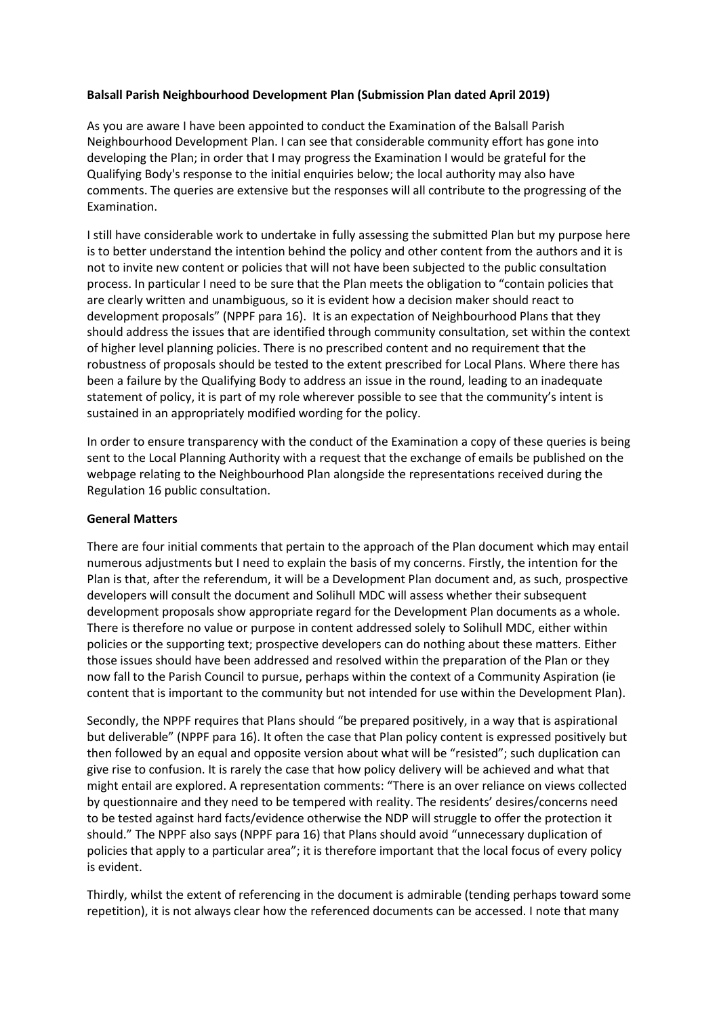## **Balsall Parish Neighbourhood Development Plan (Submission Plan dated April 2019)**

As you are aware I have been appointed to conduct the Examination of the Balsall Parish Neighbourhood Development Plan. I can see that considerable community effort has gone into developing the Plan; in order that I may progress the Examination I would be grateful for the Qualifying Body's response to the initial enquiries below; the local authority may also have comments. The queries are extensive but the responses will all contribute to the progressing of the Examination.

I still have considerable work to undertake in fully assessing the submitted Plan but my purpose here is to better understand the intention behind the policy and other content from the authors and it is not to invite new content or policies that will not have been subjected to the public consultation process. In particular I need to be sure that the Plan meets the obligation to "contain policies that are clearly written and unambiguous, so it is evident how a decision maker should react to development proposals" (NPPF para 16). It is an expectation of Neighbourhood Plans that they should address the issues that are identified through community consultation, set within the context of higher level planning policies. There is no prescribed content and no requirement that the robustness of proposals should be tested to the extent prescribed for Local Plans. Where there has been a failure by the Qualifying Body to address an issue in the round, leading to an inadequate statement of policy, it is part of my role wherever possible to see that the community's intent is sustained in an appropriately modified wording for the policy.

In order to ensure transparency with the conduct of the Examination a copy of these queries is being sent to the Local Planning Authority with a request that the exchange of emails be published on the webpage relating to the Neighbourhood Plan alongside the representations received during the Regulation 16 public consultation.

### **General Matters**

There are four initial comments that pertain to the approach of the Plan document which may entail numerous adjustments but I need to explain the basis of my concerns. Firstly, the intention for the Plan is that, after the referendum, it will be a Development Plan document and, as such, prospective developers will consult the document and Solihull MDC will assess whether their subsequent development proposals show appropriate regard for the Development Plan documents as a whole. There is therefore no value or purpose in content addressed solely to Solihull MDC, either within policies or the supporting text; prospective developers can do nothing about these matters. Either those issues should have been addressed and resolved within the preparation of the Plan or they now fall to the Parish Council to pursue, perhaps within the context of a Community Aspiration (ie content that is important to the community but not intended for use within the Development Plan).

Secondly, the NPPF requires that Plans should "be prepared positively, in a way that is aspirational but deliverable" (NPPF para 16). It often the case that Plan policy content is expressed positively but then followed by an equal and opposite version about what will be "resisted"; such duplication can give rise to confusion. It is rarely the case that how policy delivery will be achieved and what that might entail are explored. A representation comments: "There is an over reliance on views collected by questionnaire and they need to be tempered with reality. The residents' desires/concerns need to be tested against hard facts/evidence otherwise the NDP will struggle to offer the protection it should." The NPPF also says (NPPF para 16) that Plans should avoid "unnecessary duplication of policies that apply to a particular area"; it is therefore important that the local focus of every policy is evident.

Thirdly, whilst the extent of referencing in the document is admirable (tending perhaps toward some repetition), it is not always clear how the referenced documents can be accessed. I note that many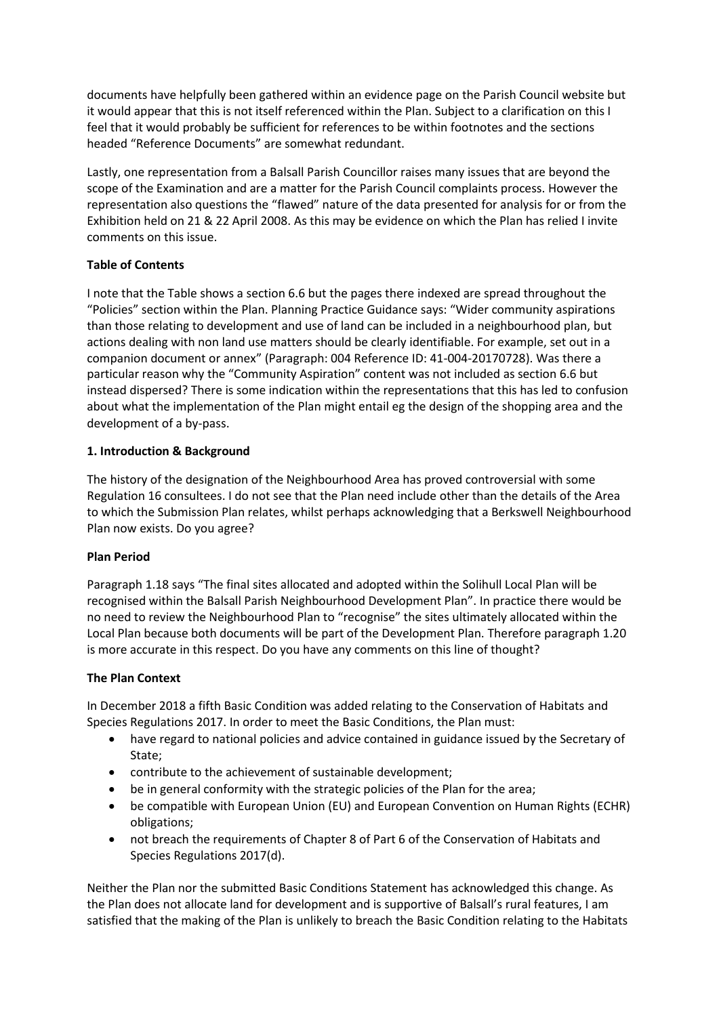documents have helpfully been gathered within an evidence page on the Parish Council website but it would appear that this is not itself referenced within the Plan. Subject to a clarification on this I feel that it would probably be sufficient for references to be within footnotes and the sections headed "Reference Documents" are somewhat redundant.

Lastly, one representation from a Balsall Parish Councillor raises many issues that are beyond the scope of the Examination and are a matter for the Parish Council complaints process. However the representation also questions the "flawed" nature of the data presented for analysis for or from the Exhibition held on 21 & 22 April 2008. As this may be evidence on which the Plan has relied I invite comments on this issue.

## **Table of Contents**

I note that the Table shows a section 6.6 but the pages there indexed are spread throughout the "Policies" section within the Plan. Planning Practice Guidance says: "Wider community aspirations than those relating to development and use of land can be included in a neighbourhood plan, but actions dealing with non land use matters should be clearly identifiable. For example, set out in a companion document or annex" (Paragraph: 004 Reference ID: 41-004-20170728). Was there a particular reason why the "Community Aspiration" content was not included as section 6.6 but instead dispersed? There is some indication within the representations that this has led to confusion about what the implementation of the Plan might entail eg the design of the shopping area and the development of a by-pass.

## **1. Introduction & Background**

The history of the designation of the Neighbourhood Area has proved controversial with some Regulation 16 consultees. I do not see that the Plan need include other than the details of the Area to which the Submission Plan relates, whilst perhaps acknowledging that a Berkswell Neighbourhood Plan now exists. Do you agree?

### **Plan Period**

Paragraph 1.18 says "The final sites allocated and adopted within the Solihull Local Plan will be recognised within the Balsall Parish Neighbourhood Development Plan". In practice there would be no need to review the Neighbourhood Plan to "recognise" the sites ultimately allocated within the Local Plan because both documents will be part of the Development Plan. Therefore paragraph 1.20 is more accurate in this respect. Do you have any comments on this line of thought?

### **The Plan Context**

In December 2018 a fifth Basic Condition was added relating to the Conservation of Habitats and Species Regulations 2017. In order to meet the Basic Conditions, the Plan must:

- have regard to national policies and advice contained in guidance issued by the Secretary of State;
- contribute to the achievement of sustainable development;
- be in general conformity with the strategic policies of the Plan for the area;
- be compatible with European Union (EU) and European Convention on Human Rights (ECHR) obligations;
- not breach the requirements of Chapter 8 of Part 6 of the Conservation of Habitats and Species Regulations 2017(d).

Neither the Plan nor the submitted Basic Conditions Statement has acknowledged this change. As the Plan does not allocate land for development and is supportive of Balsall's rural features, I am satisfied that the making of the Plan is unlikely to breach the Basic Condition relating to the Habitats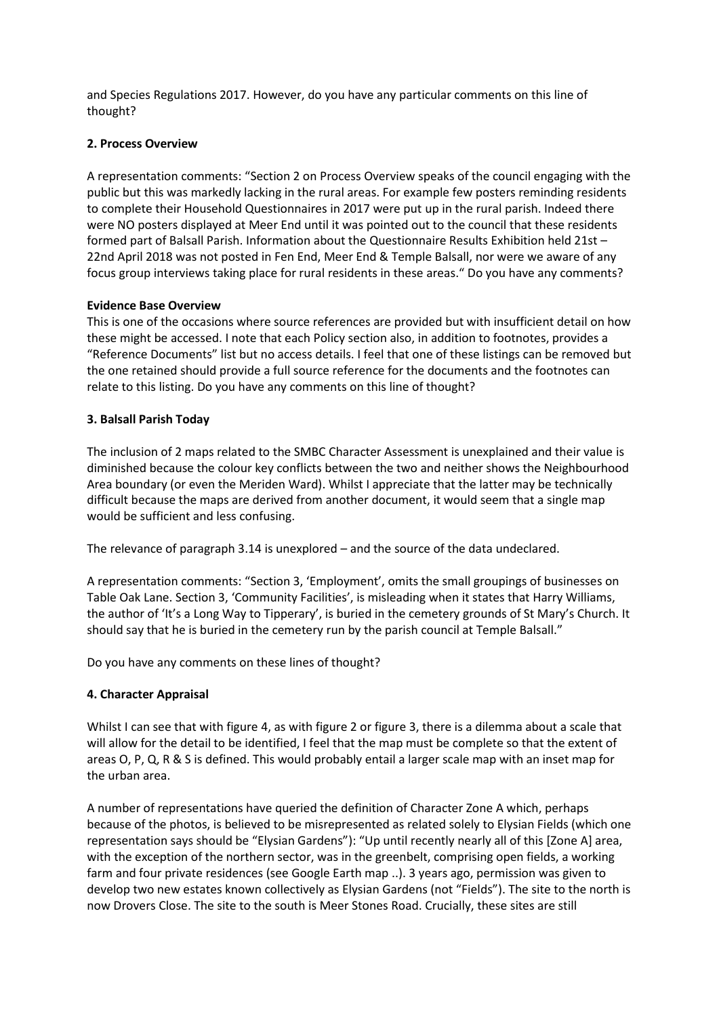and Species Regulations 2017. However, do you have any particular comments on this line of thought?

### **2. Process Overview**

A representation comments: "Section 2 on Process Overview speaks of the council engaging with the public but this was markedly lacking in the rural areas. For example few posters reminding residents to complete their Household Questionnaires in 2017 were put up in the rural parish. Indeed there were NO posters displayed at Meer End until it was pointed out to the council that these residents formed part of Balsall Parish. Information about the Questionnaire Results Exhibition held 21st – 22nd April 2018 was not posted in Fen End, Meer End & Temple Balsall, nor were we aware of any focus group interviews taking place for rural residents in these areas." Do you have any comments?

## **Evidence Base Overview**

This is one of the occasions where source references are provided but with insufficient detail on how these might be accessed. I note that each Policy section also, in addition to footnotes, provides a "Reference Documents" list but no access details. I feel that one of these listings can be removed but the one retained should provide a full source reference for the documents and the footnotes can relate to this listing. Do you have any comments on this line of thought?

## **3. Balsall Parish Today**

The inclusion of 2 maps related to the SMBC Character Assessment is unexplained and their value is diminished because the colour key conflicts between the two and neither shows the Neighbourhood Area boundary (or even the Meriden Ward). Whilst I appreciate that the latter may be technically difficult because the maps are derived from another document, it would seem that a single map would be sufficient and less confusing.

The relevance of paragraph 3.14 is unexplored – and the source of the data undeclared.

A representation comments: "Section 3, 'Employment', omits the small groupings of businesses on Table Oak Lane. Section 3, 'Community Facilities', is misleading when it states that Harry Williams, the author of 'It's a Long Way to Tipperary', is buried in the cemetery grounds of St Mary's Church. It should say that he is buried in the cemetery run by the parish council at Temple Balsall."

Do you have any comments on these lines of thought?

# **4. Character Appraisal**

Whilst I can see that with figure 4, as with figure 2 or figure 3, there is a dilemma about a scale that will allow for the detail to be identified, I feel that the map must be complete so that the extent of areas O, P, Q, R & S is defined. This would probably entail a larger scale map with an inset map for the urban area.

A number of representations have queried the definition of Character Zone A which, perhaps because of the photos, is believed to be misrepresented as related solely to Elysian Fields (which one representation says should be "Elysian Gardens"): "Up until recently nearly all of this [Zone A] area, with the exception of the northern sector, was in the greenbelt, comprising open fields, a working farm and four private residences (see Google Earth map ..). 3 years ago, permission was given to develop two new estates known collectively as Elysian Gardens (not "Fields"). The site to the north is now Drovers Close. The site to the south is Meer Stones Road. Crucially, these sites are still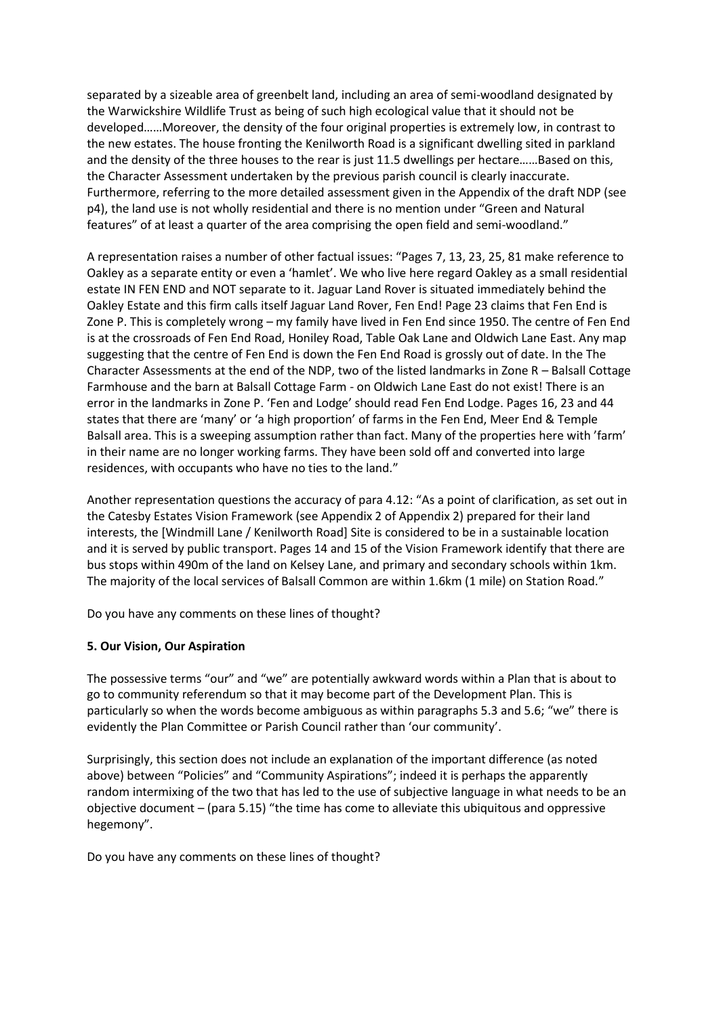separated by a sizeable area of greenbelt land, including an area of semi-woodland designated by the Warwickshire Wildlife Trust as being of such high ecological value that it should not be developed……Moreover, the density of the four original properties is extremely low, in contrast to the new estates. The house fronting the Kenilworth Road is a significant dwelling sited in parkland and the density of the three houses to the rear is just 11.5 dwellings per hectare……Based on this, the Character Assessment undertaken by the previous parish council is clearly inaccurate. Furthermore, referring to the more detailed assessment given in the Appendix of the draft NDP (see p4), the land use is not wholly residential and there is no mention under "Green and Natural features" of at least a quarter of the area comprising the open field and semi-woodland."

A representation raises a number of other factual issues: "Pages 7, 13, 23, 25, 81 make reference to Oakley as a separate entity or even a 'hamlet'. We who live here regard Oakley as a small residential estate IN FEN END and NOT separate to it. Jaguar Land Rover is situated immediately behind the Oakley Estate and this firm calls itself Jaguar Land Rover, Fen End! Page 23 claims that Fen End is Zone P. This is completely wrong – my family have lived in Fen End since 1950. The centre of Fen End is at the crossroads of Fen End Road, Honiley Road, Table Oak Lane and Oldwich Lane East. Any map suggesting that the centre of Fen End is down the Fen End Road is grossly out of date. In the The Character Assessments at the end of the NDP, two of the listed landmarks in Zone R – Balsall Cottage Farmhouse and the barn at Balsall Cottage Farm - on Oldwich Lane East do not exist! There is an error in the landmarks in Zone P. 'Fen and Lodge' should read Fen End Lodge. Pages 16, 23 and 44 states that there are 'many' or 'a high proportion' of farms in the Fen End, Meer End & Temple Balsall area. This is a sweeping assumption rather than fact. Many of the properties here with 'farm' in their name are no longer working farms. They have been sold off and converted into large residences, with occupants who have no ties to the land."

Another representation questions the accuracy of para 4.12: "As a point of clarification, as set out in the Catesby Estates Vision Framework (see Appendix 2 of Appendix 2) prepared for their land interests, the [Windmill Lane / Kenilworth Road] Site is considered to be in a sustainable location and it is served by public transport. Pages 14 and 15 of the Vision Framework identify that there are bus stops within 490m of the land on Kelsey Lane, and primary and secondary schools within 1km. The majority of the local services of Balsall Common are within 1.6km (1 mile) on Station Road."

Do you have any comments on these lines of thought?

# **5. Our Vision, Our Aspiration**

The possessive terms "our" and "we" are potentially awkward words within a Plan that is about to go to community referendum so that it may become part of the Development Plan. This is particularly so when the words become ambiguous as within paragraphs 5.3 and 5.6; "we" there is evidently the Plan Committee or Parish Council rather than 'our community'.

Surprisingly, this section does not include an explanation of the important difference (as noted above) between "Policies" and "Community Aspirations"; indeed it is perhaps the apparently random intermixing of the two that has led to the use of subjective language in what needs to be an objective document – (para 5.15) "the time has come to alleviate this ubiquitous and oppressive hegemony".

Do you have any comments on these lines of thought?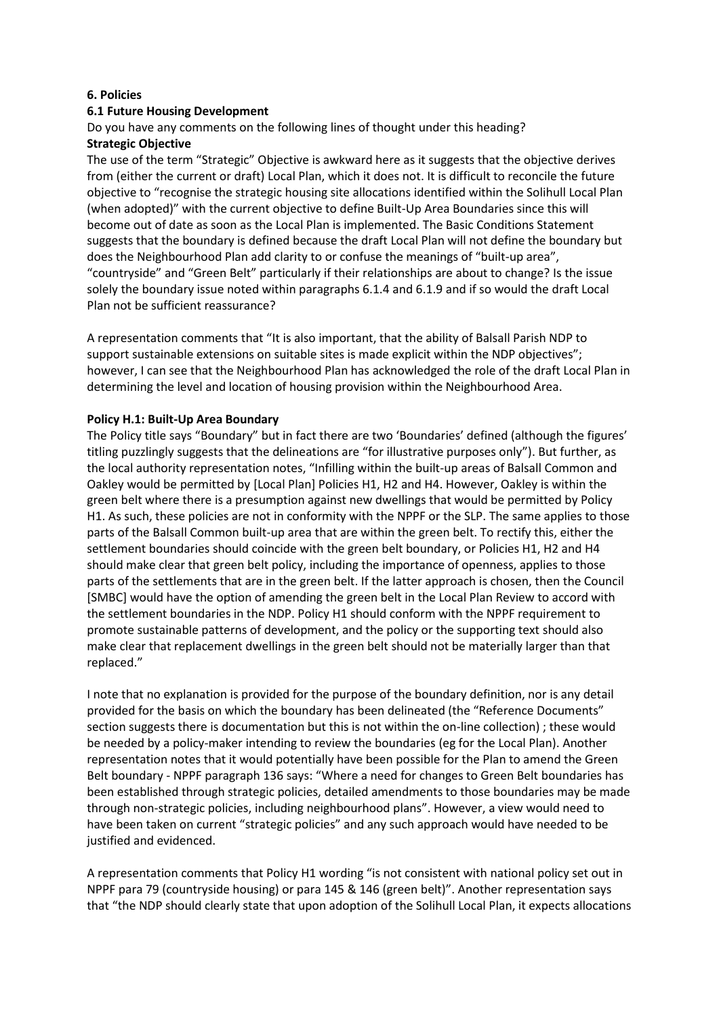#### **6. Policies**

### **6.1 Future Housing Development**

Do you have any comments on the following lines of thought under this heading?

#### **Strategic Objective**

The use of the term "Strategic" Objective is awkward here as it suggests that the objective derives from (either the current or draft) Local Plan, which it does not. It is difficult to reconcile the future objective to "recognise the strategic housing site allocations identified within the Solihull Local Plan (when adopted)" with the current objective to define Built-Up Area Boundaries since this will become out of date as soon as the Local Plan is implemented. The Basic Conditions Statement suggests that the boundary is defined because the draft Local Plan will not define the boundary but does the Neighbourhood Plan add clarity to or confuse the meanings of "built-up area", "countryside" and "Green Belt" particularly if their relationships are about to change? Is the issue solely the boundary issue noted within paragraphs 6.1.4 and 6.1.9 and if so would the draft Local Plan not be sufficient reassurance?

A representation comments that "It is also important, that the ability of Balsall Parish NDP to support sustainable extensions on suitable sites is made explicit within the NDP objectives"; however, I can see that the Neighbourhood Plan has acknowledged the role of the draft Local Plan in determining the level and location of housing provision within the Neighbourhood Area.

#### **Policy H.1: Built-Up Area Boundary**

The Policy title says "Boundary" but in fact there are two 'Boundaries' defined (although the figures' titling puzzlingly suggests that the delineations are "for illustrative purposes only"). But further, as the local authority representation notes, "Infilling within the built-up areas of Balsall Common and Oakley would be permitted by [Local Plan] Policies H1, H2 and H4. However, Oakley is within the green belt where there is a presumption against new dwellings that would be permitted by Policy H1. As such, these policies are not in conformity with the NPPF or the SLP. The same applies to those parts of the Balsall Common built-up area that are within the green belt. To rectify this, either the settlement boundaries should coincide with the green belt boundary, or Policies H1, H2 and H4 should make clear that green belt policy, including the importance of openness, applies to those parts of the settlements that are in the green belt. If the latter approach is chosen, then the Council [SMBC] would have the option of amending the green belt in the Local Plan Review to accord with the settlement boundaries in the NDP. Policy H1 should conform with the NPPF requirement to promote sustainable patterns of development, and the policy or the supporting text should also make clear that replacement dwellings in the green belt should not be materially larger than that replaced."

I note that no explanation is provided for the purpose of the boundary definition, nor is any detail provided for the basis on which the boundary has been delineated (the "Reference Documents" section suggests there is documentation but this is not within the on-line collection) ; these would be needed by a policy-maker intending to review the boundaries (eg for the Local Plan). Another representation notes that it would potentially have been possible for the Plan to amend the Green Belt boundary - NPPF paragraph 136 says: "Where a need for changes to Green Belt boundaries has been established through strategic policies, detailed amendments to those boundaries may be made through non-strategic policies, including neighbourhood plans". However, a view would need to have been taken on current "strategic policies" and any such approach would have needed to be justified and evidenced.

A representation comments that Policy H1 wording "is not consistent with national policy set out in NPPF para 79 (countryside housing) or para 145 & 146 (green belt)". Another representation says that "the NDP should clearly state that upon adoption of the Solihull Local Plan, it expects allocations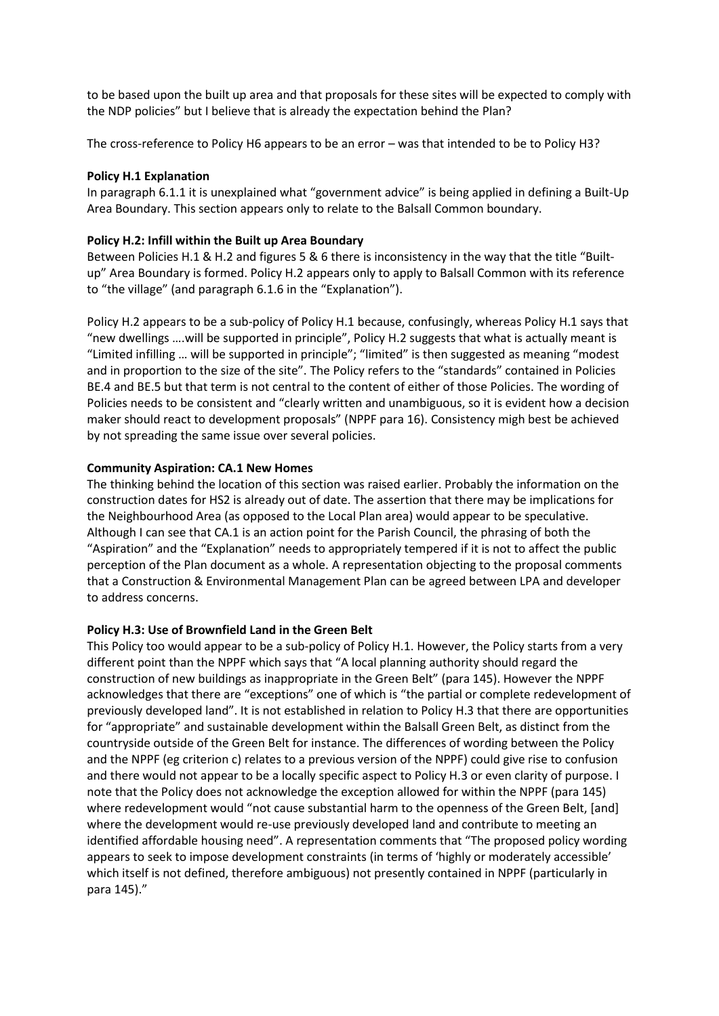to be based upon the built up area and that proposals for these sites will be expected to comply with the NDP policies" but I believe that is already the expectation behind the Plan?

The cross-reference to Policy H6 appears to be an error – was that intended to be to Policy H3?

#### **Policy H.1 Explanation**

In paragraph 6.1.1 it is unexplained what "government advice" is being applied in defining a Built-Up Area Boundary. This section appears only to relate to the Balsall Common boundary.

#### **Policy H.2: Infill within the Built up Area Boundary**

Between Policies H.1 & H.2 and figures 5 & 6 there is inconsistency in the way that the title "Builtup" Area Boundary is formed. Policy H.2 appears only to apply to Balsall Common with its reference to "the village" (and paragraph 6.1.6 in the "Explanation").

Policy H.2 appears to be a sub-policy of Policy H.1 because, confusingly, whereas Policy H.1 says that "new dwellings ….will be supported in principle", Policy H.2 suggests that what is actually meant is "Limited infilling … will be supported in principle"; "limited" is then suggested as meaning "modest and in proportion to the size of the site". The Policy refers to the "standards" contained in Policies BE.4 and BE.5 but that term is not central to the content of either of those Policies. The wording of Policies needs to be consistent and "clearly written and unambiguous, so it is evident how a decision maker should react to development proposals" (NPPF para 16). Consistency migh best be achieved by not spreading the same issue over several policies.

#### **Community Aspiration: CA.1 New Homes**

The thinking behind the location of this section was raised earlier. Probably the information on the construction dates for HS2 is already out of date. The assertion that there may be implications for the Neighbourhood Area (as opposed to the Local Plan area) would appear to be speculative. Although I can see that CA.1 is an action point for the Parish Council, the phrasing of both the "Aspiration" and the "Explanation" needs to appropriately tempered if it is not to affect the public perception of the Plan document as a whole. A representation objecting to the proposal comments that a Construction & Environmental Management Plan can be agreed between LPA and developer to address concerns.

#### **Policy H.3: Use of Brownfield Land in the Green Belt**

This Policy too would appear to be a sub-policy of Policy H.1. However, the Policy starts from a very different point than the NPPF which says that "A local planning authority should regard the construction of new buildings as inappropriate in the Green Belt" (para 145). However the NPPF acknowledges that there are "exceptions" one of which is "the partial or complete redevelopment of previously developed land". It is not established in relation to Policy H.3 that there are opportunities for "appropriate" and sustainable development within the Balsall Green Belt, as distinct from the countryside outside of the Green Belt for instance. The differences of wording between the Policy and the NPPF (eg criterion c) relates to a previous version of the NPPF) could give rise to confusion and there would not appear to be a locally specific aspect to Policy H.3 or even clarity of purpose. I note that the Policy does not acknowledge the exception allowed for within the NPPF (para 145) where redevelopment would "not cause substantial harm to the openness of the Green Belt, [and] where the development would re-use previously developed land and contribute to meeting an identified affordable housing need". A representation comments that "The proposed policy wording appears to seek to impose development constraints (in terms of 'highly or moderately accessible' which itself is not defined, therefore ambiguous) not presently contained in NPPF (particularly in para 145)."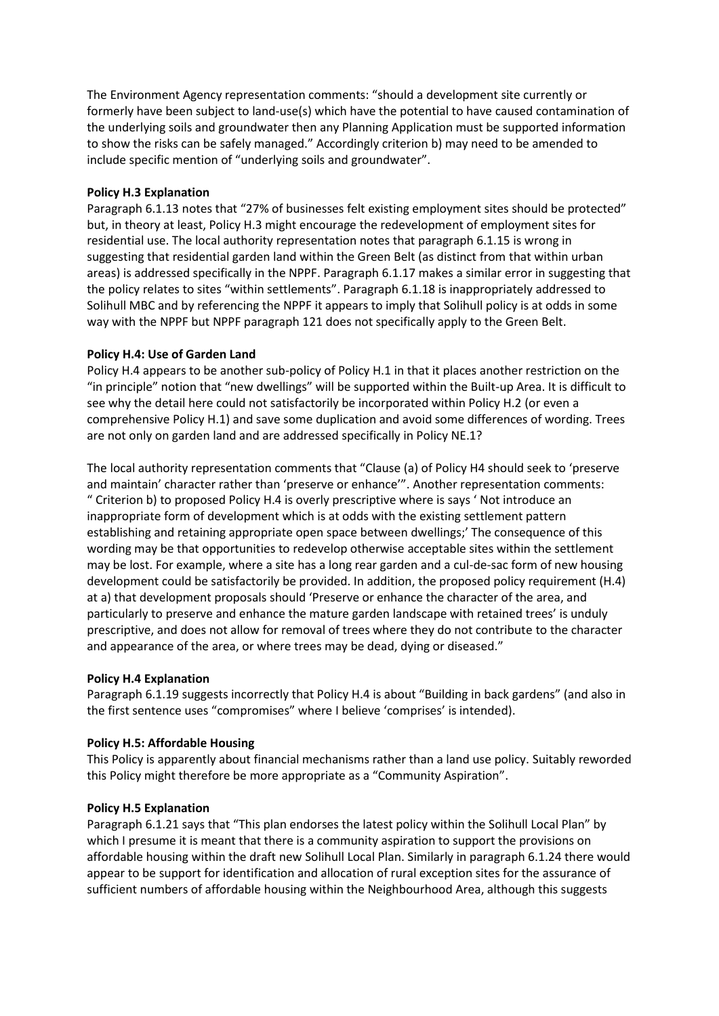The Environment Agency representation comments: "should a development site currently or formerly have been subject to land-use(s) which have the potential to have caused contamination of the underlying soils and groundwater then any Planning Application must be supported information to show the risks can be safely managed." Accordingly criterion b) may need to be amended to include specific mention of "underlying soils and groundwater".

# **Policy H.3 Explanation**

Paragraph 6.1.13 notes that "27% of businesses felt existing employment sites should be protected" but, in theory at least, Policy H.3 might encourage the redevelopment of employment sites for residential use. The local authority representation notes that paragraph 6.1.15 is wrong in suggesting that residential garden land within the Green Belt (as distinct from that within urban areas) is addressed specifically in the NPPF. Paragraph 6.1.17 makes a similar error in suggesting that the policy relates to sites "within settlements". Paragraph 6.1.18 is inappropriately addressed to Solihull MBC and by referencing the NPPF it appears to imply that Solihull policy is at odds in some way with the NPPF but NPPF paragraph 121 does not specifically apply to the Green Belt.

## **Policy H.4: Use of Garden Land**

Policy H.4 appears to be another sub-policy of Policy H.1 in that it places another restriction on the "in principle" notion that "new dwellings" will be supported within the Built-up Area. It is difficult to see why the detail here could not satisfactorily be incorporated within Policy H.2 (or even a comprehensive Policy H.1) and save some duplication and avoid some differences of wording. Trees are not only on garden land and are addressed specifically in Policy NE.1?

The local authority representation comments that "Clause (a) of Policy H4 should seek to 'preserve and maintain' character rather than 'preserve or enhance'". Another representation comments: " Criterion b) to proposed Policy H.4 is overly prescriptive where is says ' Not introduce an inappropriate form of development which is at odds with the existing settlement pattern establishing and retaining appropriate open space between dwellings;' The consequence of this wording may be that opportunities to redevelop otherwise acceptable sites within the settlement may be lost. For example, where a site has a long rear garden and a cul-de-sac form of new housing development could be satisfactorily be provided. In addition, the proposed policy requirement (H.4) at a) that development proposals should 'Preserve or enhance the character of the area, and particularly to preserve and enhance the mature garden landscape with retained trees' is unduly prescriptive, and does not allow for removal of trees where they do not contribute to the character and appearance of the area, or where trees may be dead, dying or diseased."

### **Policy H.4 Explanation**

Paragraph 6.1.19 suggests incorrectly that Policy H.4 is about "Building in back gardens" (and also in the first sentence uses "compromises" where I believe 'comprises' is intended).

# **Policy H.5: Affordable Housing**

This Policy is apparently about financial mechanisms rather than a land use policy. Suitably reworded this Policy might therefore be more appropriate as a "Community Aspiration".

### **Policy H.5 Explanation**

Paragraph 6.1.21 says that "This plan endorses the latest policy within the Solihull Local Plan" by which I presume it is meant that there is a community aspiration to support the provisions on affordable housing within the draft new Solihull Local Plan. Similarly in paragraph 6.1.24 there would appear to be support for identification and allocation of rural exception sites for the assurance of sufficient numbers of affordable housing within the Neighbourhood Area, although this suggests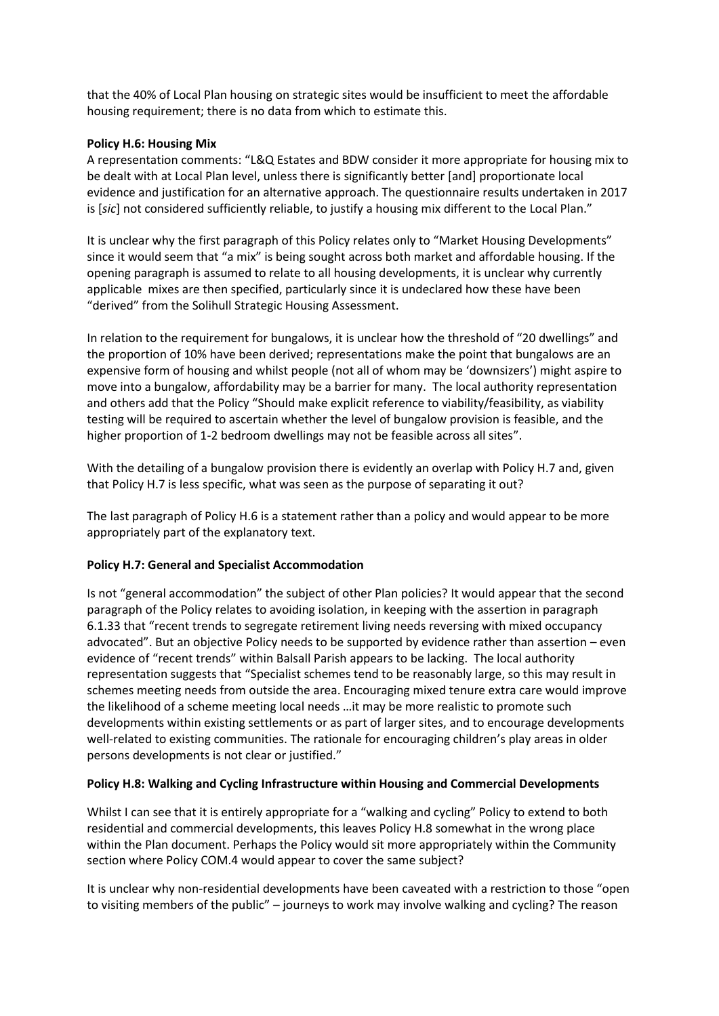that the 40% of Local Plan housing on strategic sites would be insufficient to meet the affordable housing requirement; there is no data from which to estimate this.

## **Policy H.6: Housing Mix**

A representation comments: "L&Q Estates and BDW consider it more appropriate for housing mix to be dealt with at Local Plan level, unless there is significantly better [and] proportionate local evidence and justification for an alternative approach. The questionnaire results undertaken in 2017 is [*sic*] not considered sufficiently reliable, to justify a housing mix different to the Local Plan."

It is unclear why the first paragraph of this Policy relates only to "Market Housing Developments" since it would seem that "a mix" is being sought across both market and affordable housing. If the opening paragraph is assumed to relate to all housing developments, it is unclear why currently applicable mixes are then specified, particularly since it is undeclared how these have been "derived" from the Solihull Strategic Housing Assessment.

In relation to the requirement for bungalows, it is unclear how the threshold of "20 dwellings" and the proportion of 10% have been derived; representations make the point that bungalows are an expensive form of housing and whilst people (not all of whom may be 'downsizers') might aspire to move into a bungalow, affordability may be a barrier for many. The local authority representation and others add that the Policy "Should make explicit reference to viability/feasibility, as viability testing will be required to ascertain whether the level of bungalow provision is feasible, and the higher proportion of 1-2 bedroom dwellings may not be feasible across all sites".

With the detailing of a bungalow provision there is evidently an overlap with Policy H.7 and, given that Policy H.7 is less specific, what was seen as the purpose of separating it out?

The last paragraph of Policy H.6 is a statement rather than a policy and would appear to be more appropriately part of the explanatory text.

### **Policy H.7: General and Specialist Accommodation**

Is not "general accommodation" the subject of other Plan policies? It would appear that the second paragraph of the Policy relates to avoiding isolation, in keeping with the assertion in paragraph 6.1.33 that "recent trends to segregate retirement living needs reversing with mixed occupancy advocated". But an objective Policy needs to be supported by evidence rather than assertion – even evidence of "recent trends" within Balsall Parish appears to be lacking. The local authority representation suggests that "Specialist schemes tend to be reasonably large, so this may result in schemes meeting needs from outside the area. Encouraging mixed tenure extra care would improve the likelihood of a scheme meeting local needs …it may be more realistic to promote such developments within existing settlements or as part of larger sites, and to encourage developments well-related to existing communities. The rationale for encouraging children's play areas in older persons developments is not clear or justified."

### **Policy H.8: Walking and Cycling Infrastructure within Housing and Commercial Developments**

Whilst I can see that it is entirely appropriate for a "walking and cycling" Policy to extend to both residential and commercial developments, this leaves Policy H.8 somewhat in the wrong place within the Plan document. Perhaps the Policy would sit more appropriately within the Community section where Policy COM.4 would appear to cover the same subject?

It is unclear why non-residential developments have been caveated with a restriction to those "open to visiting members of the public" – journeys to work may involve walking and cycling? The reason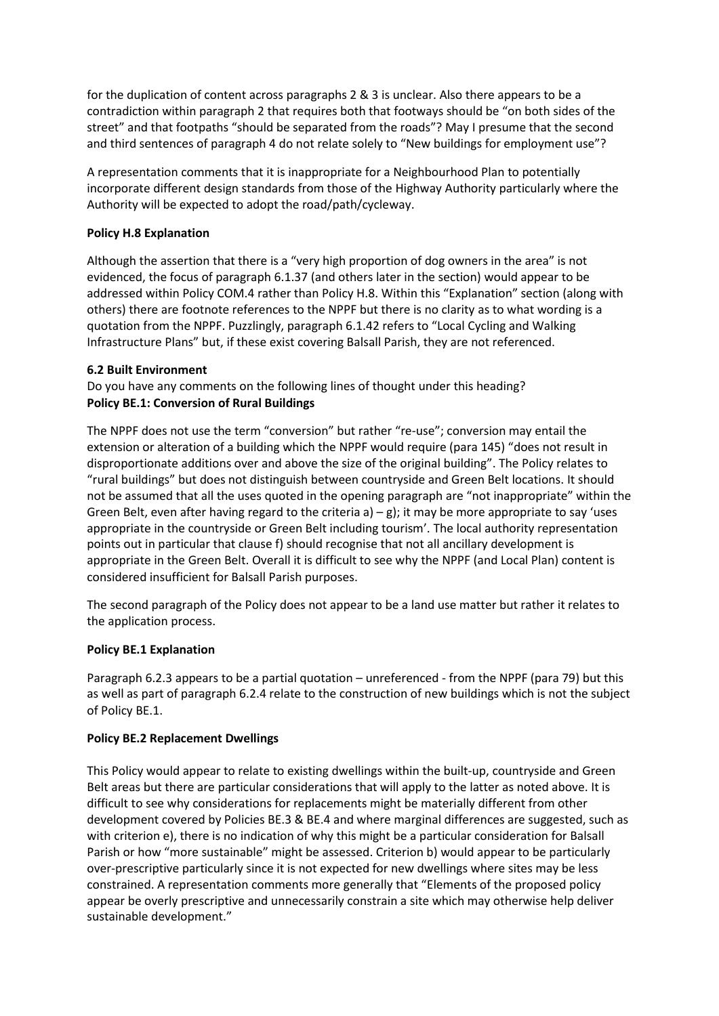for the duplication of content across paragraphs 2 & 3 is unclear. Also there appears to be a contradiction within paragraph 2 that requires both that footways should be "on both sides of the street" and that footpaths "should be separated from the roads"? May I presume that the second and third sentences of paragraph 4 do not relate solely to "New buildings for employment use"?

A representation comments that it is inappropriate for a Neighbourhood Plan to potentially incorporate different design standards from those of the Highway Authority particularly where the Authority will be expected to adopt the road/path/cycleway.

# **Policy H.8 Explanation**

Although the assertion that there is a "very high proportion of dog owners in the area" is not evidenced, the focus of paragraph 6.1.37 (and others later in the section) would appear to be addressed within Policy COM.4 rather than Policy H.8. Within this "Explanation" section (along with others) there are footnote references to the NPPF but there is no clarity as to what wording is a quotation from the NPPF. Puzzlingly, paragraph 6.1.42 refers to "Local Cycling and Walking Infrastructure Plans" but, if these exist covering Balsall Parish, they are not referenced.

## **6.2 Built Environment**

Do you have any comments on the following lines of thought under this heading? **Policy BE.1: Conversion of Rural Buildings** 

The NPPF does not use the term "conversion" but rather "re-use"; conversion may entail the extension or alteration of a building which the NPPF would require (para 145) "does not result in disproportionate additions over and above the size of the original building". The Policy relates to "rural buildings" but does not distinguish between countryside and Green Belt locations. It should not be assumed that all the uses quoted in the opening paragraph are "not inappropriate" within the Green Belt, even after having regard to the criteria a)  $-g$ ); it may be more appropriate to say 'uses appropriate in the countryside or Green Belt including tourism'. The local authority representation points out in particular that clause f) should recognise that not all ancillary development is appropriate in the Green Belt. Overall it is difficult to see why the NPPF (and Local Plan) content is considered insufficient for Balsall Parish purposes.

The second paragraph of the Policy does not appear to be a land use matter but rather it relates to the application process.

### **Policy BE.1 Explanation**

Paragraph 6.2.3 appears to be a partial quotation – unreferenced - from the NPPF (para 79) but this as well as part of paragraph 6.2.4 relate to the construction of new buildings which is not the subject of Policy BE.1.

### **Policy BE.2 Replacement Dwellings**

This Policy would appear to relate to existing dwellings within the built-up, countryside and Green Belt areas but there are particular considerations that will apply to the latter as noted above. It is difficult to see why considerations for replacements might be materially different from other development covered by Policies BE.3 & BE.4 and where marginal differences are suggested, such as with criterion e), there is no indication of why this might be a particular consideration for Balsall Parish or how "more sustainable" might be assessed. Criterion b) would appear to be particularly over-prescriptive particularly since it is not expected for new dwellings where sites may be less constrained. A representation comments more generally that "Elements of the proposed policy appear be overly prescriptive and unnecessarily constrain a site which may otherwise help deliver sustainable development."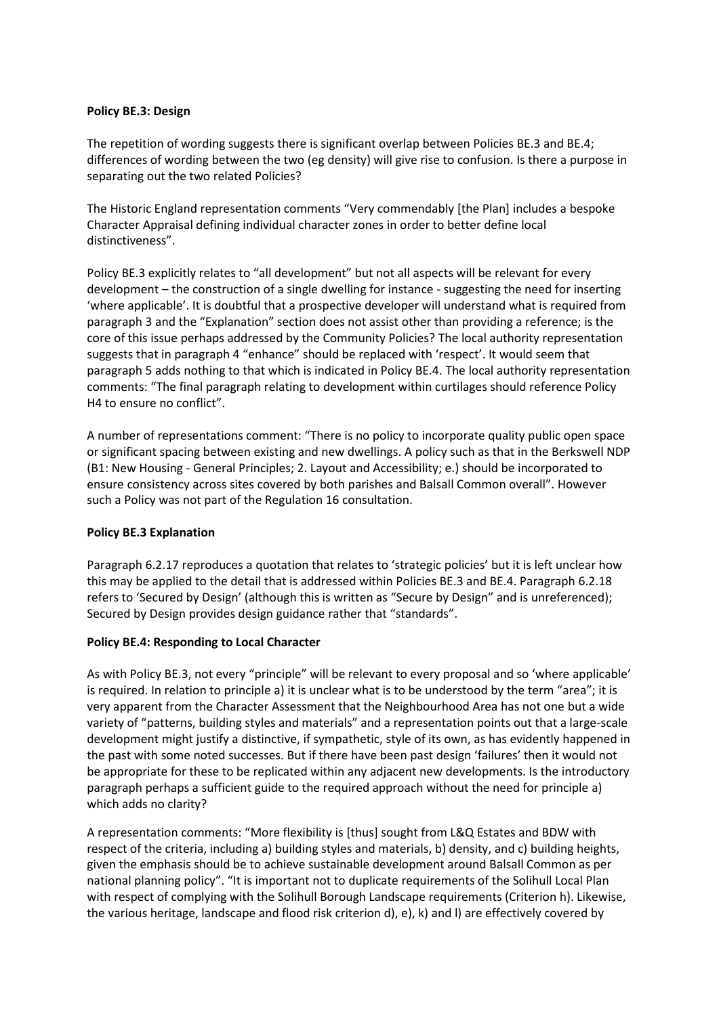### **Policy BE.3: Design**

The repetition of wording suggests there is significant overlap between Policies BE.3 and BE.4; differences of wording between the two (eg density) will give rise to confusion. Is there a purpose in separating out the two related Policies?

The Historic England representation comments "Very commendably [the Plan] includes a bespoke Character Appraisal defining individual character zones in order to better define local distinctiveness".

Policy BE.3 explicitly relates to "all development" but not all aspects will be relevant for every development – the construction of a single dwelling for instance - suggesting the need for inserting 'where applicable'. It is doubtful that a prospective developer will understand what is required from paragraph 3 and the "Explanation" section does not assist other than providing a reference; is the core of this issue perhaps addressed by the Community Policies? The local authority representation suggests that in paragraph 4 "enhance" should be replaced with 'respect'. It would seem that paragraph 5 adds nothing to that which is indicated in Policy BE.4. The local authority representation comments: "The final paragraph relating to development within curtilages should reference Policy H4 to ensure no conflict".

A number of representations comment: "There is no policy to incorporate quality public open space or significant spacing between existing and new dwellings. A policy such as that in the Berkswell NDP (B1: New Housing - General Principles; 2. Layout and Accessibility; e.) should be incorporated to ensure consistency across sites covered by both parishes and Balsall Common overall". However such a Policy was not part of the Regulation 16 consultation.

# **Policy BE.3 Explanation**

Paragraph 6.2.17 reproduces a quotation that relates to 'strategic policies' but it is left unclear how this may be applied to the detail that is addressed within Policies BE.3 and BE.4. Paragraph 6.2.18 refers to 'Secured by Design' (although this is written as "Secure by Design" and is unreferenced); Secured by Design provides design guidance rather that "standards".

### **Policy BE.4: Responding to Local Character**

As with Policy BE.3, not every "principle" will be relevant to every proposal and so 'where applicable' is required. In relation to principle a) it is unclear what is to be understood by the term "area"; it is very apparent from the Character Assessment that the Neighbourhood Area has not one but a wide variety of "patterns, building styles and materials" and a representation points out that a large-scale development might justify a distinctive, if sympathetic, style of its own, as has evidently happened in the past with some noted successes. But if there have been past design 'failures' then it would not be appropriate for these to be replicated within any adjacent new developments. Is the introductory paragraph perhaps a sufficient guide to the required approach without the need for principle a) which adds no clarity?

A representation comments: "More flexibility is [thus] sought from L&Q Estates and BDW with respect of the criteria, including a) building styles and materials, b) density, and c) building heights, given the emphasis should be to achieve sustainable development around Balsall Common as per national planning policy". "It is important not to duplicate requirements of the Solihull Local Plan with respect of complying with the Solihull Borough Landscape requirements (Criterion h). Likewise, the various heritage, landscape and flood risk criterion d), e), k) and l) are effectively covered by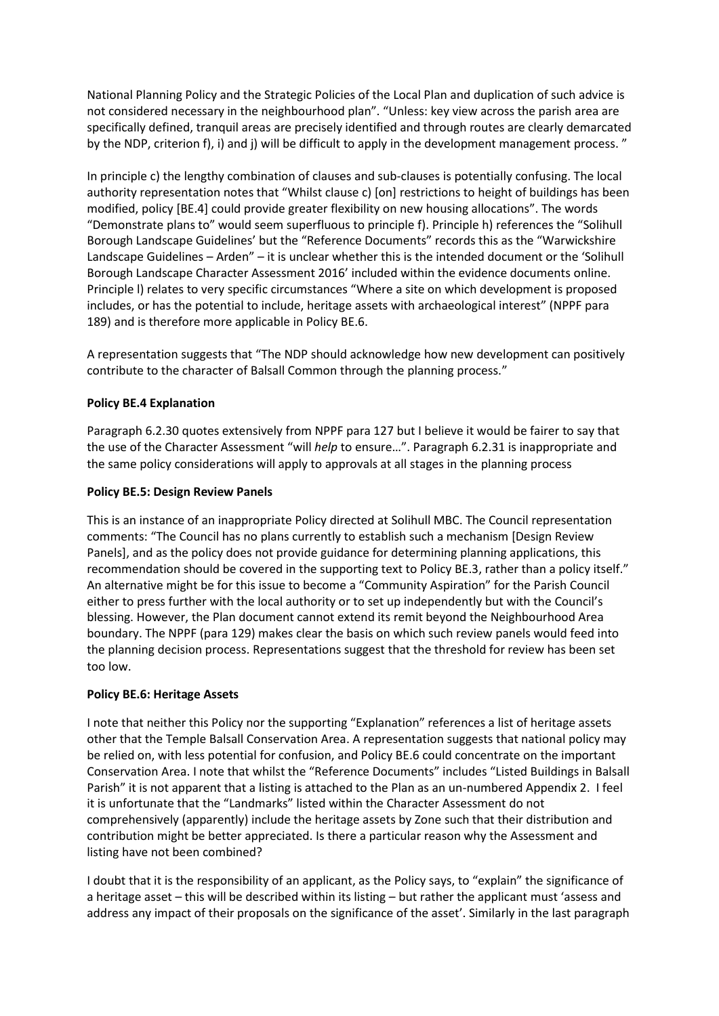National Planning Policy and the Strategic Policies of the Local Plan and duplication of such advice is not considered necessary in the neighbourhood plan". "Unless: key view across the parish area are specifically defined, tranquil areas are precisely identified and through routes are clearly demarcated by the NDP, criterion f), i) and j) will be difficult to apply in the development management process. "

In principle c) the lengthy combination of clauses and sub-clauses is potentially confusing. The local authority representation notes that "Whilst clause c) [on] restrictions to height of buildings has been modified, policy [BE.4] could provide greater flexibility on new housing allocations". The words "Demonstrate plans to" would seem superfluous to principle f). Principle h) references the "Solihull Borough Landscape Guidelines' but the "Reference Documents" records this as the "Warwickshire Landscape Guidelines – Arden" – it is unclear whether this is the intended document or the 'Solihull Borough Landscape Character Assessment 2016' included within the evidence documents online. Principle l) relates to very specific circumstances "Where a site on which development is proposed includes, or has the potential to include, heritage assets with archaeological interest" (NPPF para 189) and is therefore more applicable in Policy BE.6.

A representation suggests that "The NDP should acknowledge how new development can positively contribute to the character of Balsall Common through the planning process."

# **Policy BE.4 Explanation**

Paragraph 6.2.30 quotes extensively from NPPF para 127 but I believe it would be fairer to say that the use of the Character Assessment "will *help* to ensure…". Paragraph 6.2.31 is inappropriate and the same policy considerations will apply to approvals at all stages in the planning process

### **Policy BE.5: Design Review Panels**

This is an instance of an inappropriate Policy directed at Solihull MBC. The Council representation comments: "The Council has no plans currently to establish such a mechanism [Design Review Panels], and as the policy does not provide guidance for determining planning applications, this recommendation should be covered in the supporting text to Policy BE.3, rather than a policy itself." An alternative might be for this issue to become a "Community Aspiration" for the Parish Council either to press further with the local authority or to set up independently but with the Council's blessing. However, the Plan document cannot extend its remit beyond the Neighbourhood Area boundary. The NPPF (para 129) makes clear the basis on which such review panels would feed into the planning decision process. Representations suggest that the threshold for review has been set too low.

### **Policy BE.6: Heritage Assets**

I note that neither this Policy nor the supporting "Explanation" references a list of heritage assets other that the Temple Balsall Conservation Area. A representation suggests that national policy may be relied on, with less potential for confusion, and Policy BE.6 could concentrate on the important Conservation Area. I note that whilst the "Reference Documents" includes "Listed Buildings in Balsall Parish" it is not apparent that a listing is attached to the Plan as an un-numbered Appendix 2. I feel it is unfortunate that the "Landmarks" listed within the Character Assessment do not comprehensively (apparently) include the heritage assets by Zone such that their distribution and contribution might be better appreciated. Is there a particular reason why the Assessment and listing have not been combined?

I doubt that it is the responsibility of an applicant, as the Policy says, to "explain" the significance of a heritage asset – this will be described within its listing – but rather the applicant must 'assess and address any impact of their proposals on the significance of the asset'. Similarly in the last paragraph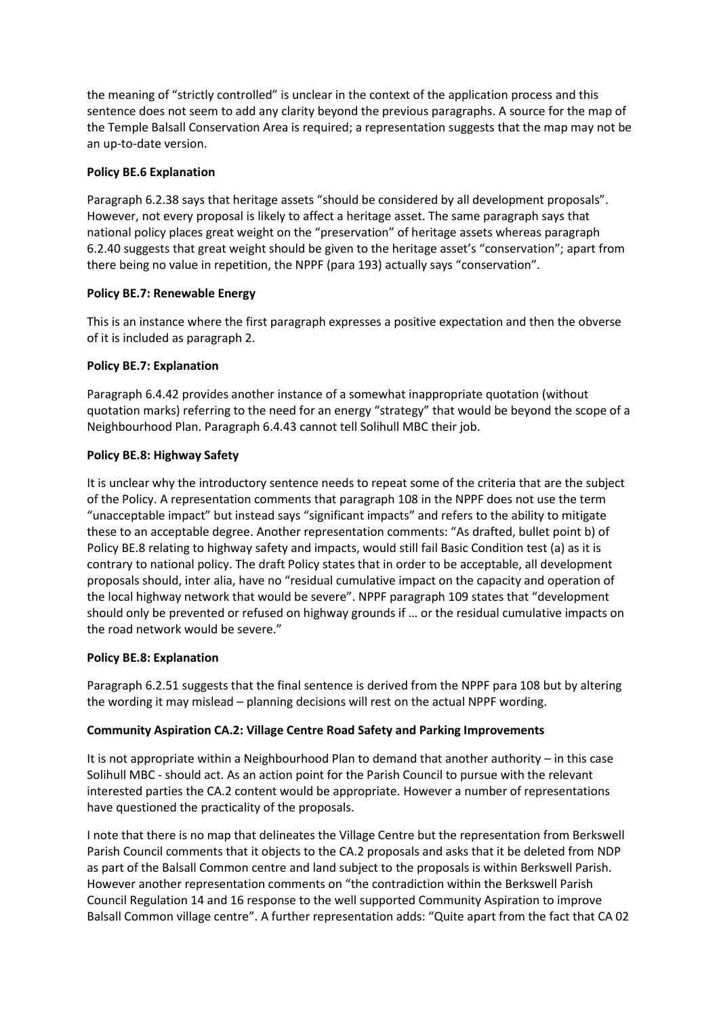the meaning of "strictly controlled" is unclear in the context of the application process and this sentence does not seem to add any clarity beyond the previous paragraphs. A source for the map of the Temple Balsall Conservation Area is required; a representation suggests that the map may not be an up-to-date version.

# **Policy BE.6 Explanation**

Paragraph 6.2.38 says that heritage assets "should be considered by all development proposals". However, not every proposal is likely to affect a heritage asset. The same paragraph says that national policy places great weight on the "preservation" of heritage assets whereas paragraph 6.2.40 suggests that great weight should be given to the heritage asset's "conservation"; apart from there being no value in repetition, the NPPF (para 193) actually says "conservation".

## **Policy BE.7: Renewable Energy**

This is an instance where the first paragraph expresses a positive expectation and then the obverse of it is included as paragraph 2.

## **Policy BE.7: Explanation**

Paragraph 6.4.42 provides another instance of a somewhat inappropriate quotation (without quotation marks) referring to the need for an energy "strategy" that would be beyond the scope of a Neighbourhood Plan. Paragraph 6.4.43 cannot tell Solihull MBC their job.

## **Policy BE.8: Highway Safety**

It is unclear why the introductory sentence needs to repeat some of the criteria that are the subject of the Policy. A representation comments that paragraph 108 in the NPPF does not use the term "unacceptable impact" but instead says "significant impacts" and refers to the ability to mitigate these to an acceptable degree. Another representation comments: "As drafted, bullet point b) of Policy BE.8 relating to highway safety and impacts, would still fail Basic Condition test (a) as it is contrary to national policy. The draft Policy states that in order to be acceptable, all development proposals should, inter alia, have no "residual cumulative impact on the capacity and operation of the local highway network that would be severe". NPPF paragraph 109 states that "development should only be prevented or refused on highway grounds if … or the residual cumulative impacts on the road network would be severe."

### **Policy BE.8: Explanation**

Paragraph 6.2.51 suggests that the final sentence is derived from the NPPF para 108 but by altering the wording it may mislead – planning decisions will rest on the actual NPPF wording.

### **Community Aspiration CA.2: Village Centre Road Safety and Parking Improvements**

It is not appropriate within a Neighbourhood Plan to demand that another authority – in this case Solihull MBC - should act. As an action point for the Parish Council to pursue with the relevant interested parties the CA.2 content would be appropriate. However a number of representations have questioned the practicality of the proposals.

I note that there is no map that delineates the Village Centre but the representation from Berkswell Parish Council comments that it objects to the CA.2 proposals and asks that it be deleted from NDP as part of the Balsall Common centre and land subject to the proposals is within Berkswell Parish. However another representation comments on "the contradiction within the Berkswell Parish Council Regulation 14 and 16 response to the well supported Community Aspiration to improve Balsall Common village centre". A further representation adds: "Quite apart from the fact that CA 02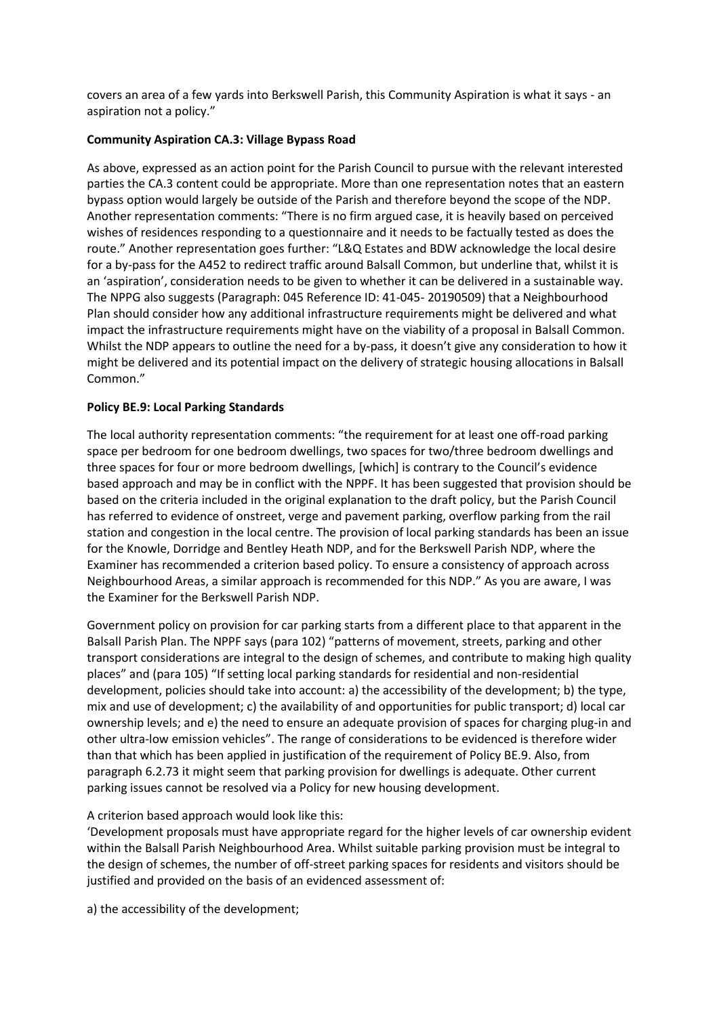covers an area of a few yards into Berkswell Parish, this Community Aspiration is what it says - an aspiration not a policy."

## **Community Aspiration CA.3: Village Bypass Road**

As above, expressed as an action point for the Parish Council to pursue with the relevant interested parties the CA.3 content could be appropriate. More than one representation notes that an eastern bypass option would largely be outside of the Parish and therefore beyond the scope of the NDP. Another representation comments: "There is no firm argued case, it is heavily based on perceived wishes of residences responding to a questionnaire and it needs to be factually tested as does the route." Another representation goes further: "L&Q Estates and BDW acknowledge the local desire for a by-pass for the A452 to redirect traffic around Balsall Common, but underline that, whilst it is an 'aspiration', consideration needs to be given to whether it can be delivered in a sustainable way. The NPPG also suggests (Paragraph: 045 Reference ID: 41-045- 20190509) that a Neighbourhood Plan should consider how any additional infrastructure requirements might be delivered and what impact the infrastructure requirements might have on the viability of a proposal in Balsall Common. Whilst the NDP appears to outline the need for a by-pass, it doesn't give any consideration to how it might be delivered and its potential impact on the delivery of strategic housing allocations in Balsall Common."

## **Policy BE.9: Local Parking Standards**

The local authority representation comments: "the requirement for at least one off-road parking space per bedroom for one bedroom dwellings, two spaces for two/three bedroom dwellings and three spaces for four or more bedroom dwellings, [which] is contrary to the Council's evidence based approach and may be in conflict with the NPPF. It has been suggested that provision should be based on the criteria included in the original explanation to the draft policy, but the Parish Council has referred to evidence of onstreet, verge and pavement parking, overflow parking from the rail station and congestion in the local centre. The provision of local parking standards has been an issue for the Knowle, Dorridge and Bentley Heath NDP, and for the Berkswell Parish NDP, where the Examiner has recommended a criterion based policy. To ensure a consistency of approach across Neighbourhood Areas, a similar approach is recommended for this NDP." As you are aware, I was the Examiner for the Berkswell Parish NDP.

Government policy on provision for car parking starts from a different place to that apparent in the Balsall Parish Plan. The NPPF says (para 102) "patterns of movement, streets, parking and other transport considerations are integral to the design of schemes, and contribute to making high quality places" and (para 105) "If setting local parking standards for residential and non-residential development, policies should take into account: a) the accessibility of the development; b) the type, mix and use of development; c) the availability of and opportunities for public transport; d) local car ownership levels; and e) the need to ensure an adequate provision of spaces for charging plug-in and other ultra-low emission vehicles". The range of considerations to be evidenced is therefore wider than that which has been applied in justification of the requirement of Policy BE.9. Also, from paragraph 6.2.73 it might seem that parking provision for dwellings is adequate. Other current parking issues cannot be resolved via a Policy for new housing development.

# A criterion based approach would look like this:

'Development proposals must have appropriate regard for the higher levels of car ownership evident within the Balsall Parish Neighbourhood Area. Whilst suitable parking provision must be integral to the design of schemes, the number of off-street parking spaces for residents and visitors should be justified and provided on the basis of an evidenced assessment of:

a) the accessibility of the development;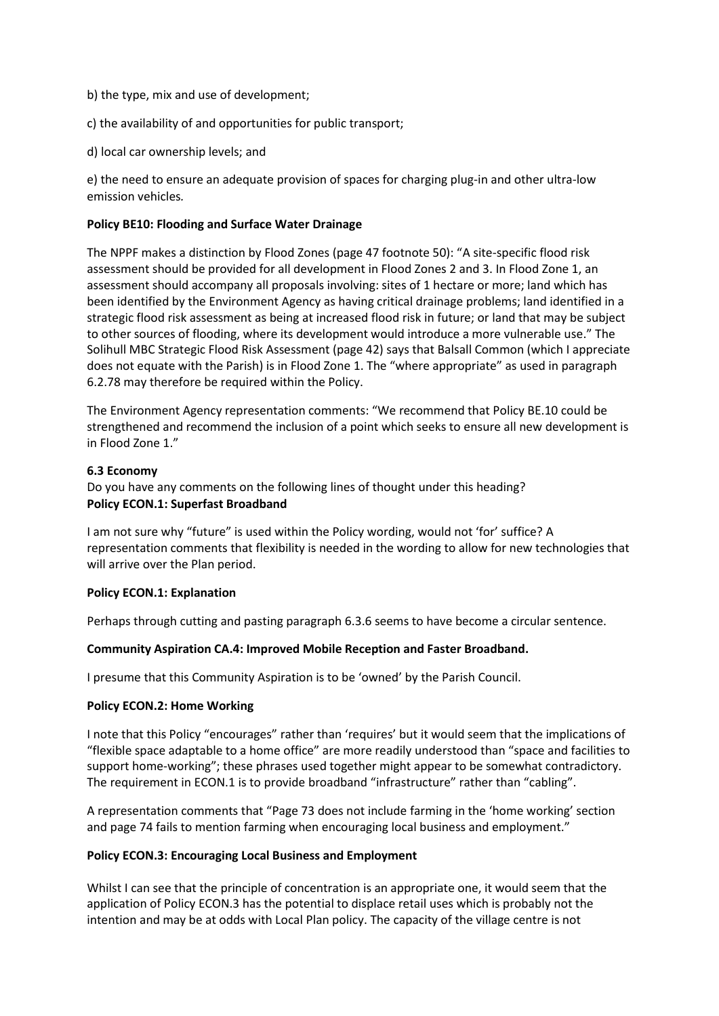- b) the type, mix and use of development;
- c) the availability of and opportunities for public transport;
- d) local car ownership levels; and

e) the need to ensure an adequate provision of spaces for charging plug-in and other ultra-low emission vehicles*.* 

### **Policy BE10: Flooding and Surface Water Drainage**

The NPPF makes a distinction by Flood Zones (page 47 footnote 50): "A site-specific flood risk assessment should be provided for all development in Flood Zones 2 and 3. In Flood Zone 1, an assessment should accompany all proposals involving: sites of 1 hectare or more; land which has been identified by the Environment Agency as having critical drainage problems; land identified in a strategic flood risk assessment as being at increased flood risk in future; or land that may be subject to other sources of flooding, where its development would introduce a more vulnerable use." The Solihull MBC Strategic Flood Risk Assessment (page 42) says that Balsall Common (which I appreciate does not equate with the Parish) is in Flood Zone 1. The "where appropriate" as used in paragraph 6.2.78 may therefore be required within the Policy.

The Environment Agency representation comments: "We recommend that Policy BE.10 could be strengthened and recommend the inclusion of a point which seeks to ensure all new development is in Flood Zone 1."

### **6.3 Economy**

Do you have any comments on the following lines of thought under this heading? **Policy ECON.1: Superfast Broadband**

I am not sure why "future" is used within the Policy wording, would not 'for' suffice? A representation comments that flexibility is needed in the wording to allow for new technologies that will arrive over the Plan period.

### **Policy ECON.1: Explanation**

Perhaps through cutting and pasting paragraph 6.3.6 seems to have become a circular sentence.

### **Community Aspiration CA.4: Improved Mobile Reception and Faster Broadband.**

I presume that this Community Aspiration is to be 'owned' by the Parish Council.

### **Policy ECON.2: Home Working**

I note that this Policy "encourages" rather than 'requires' but it would seem that the implications of "flexible space adaptable to a home office" are more readily understood than "space and facilities to support home-working"; these phrases used together might appear to be somewhat contradictory. The requirement in ECON.1 is to provide broadband "infrastructure" rather than "cabling".

A representation comments that "Page 73 does not include farming in the 'home working' section and page 74 fails to mention farming when encouraging local business and employment."

### **Policy ECON.3: Encouraging Local Business and Employment**

Whilst I can see that the principle of concentration is an appropriate one, it would seem that the application of Policy ECON.3 has the potential to displace retail uses which is probably not the intention and may be at odds with Local Plan policy. The capacity of the village centre is not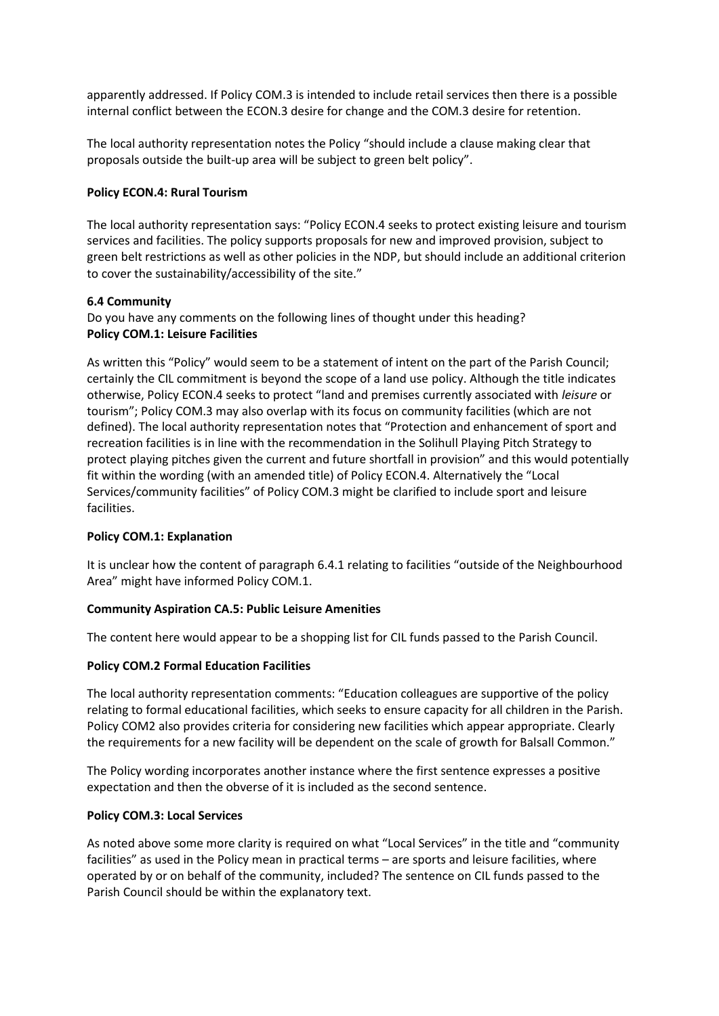apparently addressed. If Policy COM.3 is intended to include retail services then there is a possible internal conflict between the ECON.3 desire for change and the COM.3 desire for retention.

The local authority representation notes the Policy "should include a clause making clear that proposals outside the built-up area will be subject to green belt policy".

### **Policy ECON.4: Rural Tourism**

The local authority representation says: "Policy ECON.4 seeks to protect existing leisure and tourism services and facilities. The policy supports proposals for new and improved provision, subject to green belt restrictions as well as other policies in the NDP, but should include an additional criterion to cover the sustainability/accessibility of the site."

#### **6.4 Community**

Do you have any comments on the following lines of thought under this heading? **Policy COM.1: Leisure Facilities** 

As written this "Policy" would seem to be a statement of intent on the part of the Parish Council; certainly the CIL commitment is beyond the scope of a land use policy. Although the title indicates otherwise, Policy ECON.4 seeks to protect "land and premises currently associated with *leisure* or tourism"; Policy COM.3 may also overlap with its focus on community facilities (which are not defined). The local authority representation notes that "Protection and enhancement of sport and recreation facilities is in line with the recommendation in the Solihull Playing Pitch Strategy to protect playing pitches given the current and future shortfall in provision" and this would potentially fit within the wording (with an amended title) of Policy ECON.4. Alternatively the "Local Services/community facilities" of Policy COM.3 might be clarified to include sport and leisure facilities.

### **Policy COM.1: Explanation**

It is unclear how the content of paragraph 6.4.1 relating to facilities "outside of the Neighbourhood Area" might have informed Policy COM.1.

### **Community Aspiration CA.5: Public Leisure Amenities**

The content here would appear to be a shopping list for CIL funds passed to the Parish Council.

### **Policy COM.2 Formal Education Facilities**

The local authority representation comments: "Education colleagues are supportive of the policy relating to formal educational facilities, which seeks to ensure capacity for all children in the Parish. Policy COM2 also provides criteria for considering new facilities which appear appropriate. Clearly the requirements for a new facility will be dependent on the scale of growth for Balsall Common."

The Policy wording incorporates another instance where the first sentence expresses a positive expectation and then the obverse of it is included as the second sentence.

#### **Policy COM.3: Local Services**

As noted above some more clarity is required on what "Local Services" in the title and "community facilities" as used in the Policy mean in practical terms – are sports and leisure facilities, where operated by or on behalf of the community, included? The sentence on CIL funds passed to the Parish Council should be within the explanatory text.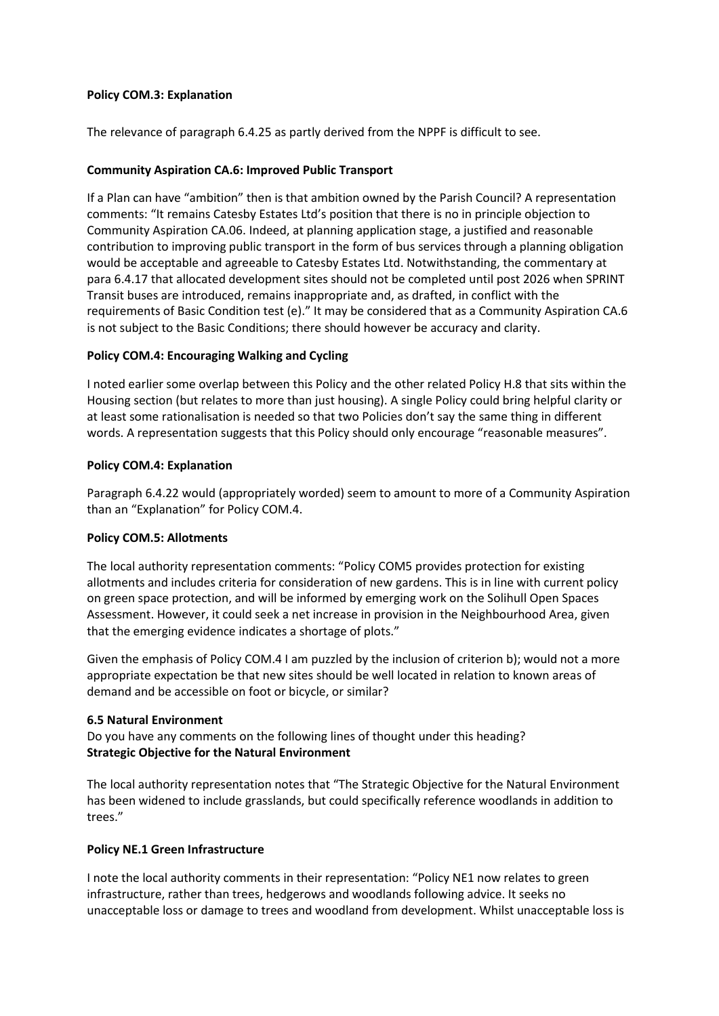### **Policy COM.3: Explanation**

The relevance of paragraph 6.4.25 as partly derived from the NPPF is difficult to see.

## **Community Aspiration CA.6: Improved Public Transport**

If a Plan can have "ambition" then is that ambition owned by the Parish Council? A representation comments: "It remains Catesby Estates Ltd's position that there is no in principle objection to Community Aspiration CA.06. Indeed, at planning application stage, a justified and reasonable contribution to improving public transport in the form of bus services through a planning obligation would be acceptable and agreeable to Catesby Estates Ltd. Notwithstanding, the commentary at para 6.4.17 that allocated development sites should not be completed until post 2026 when SPRINT Transit buses are introduced, remains inappropriate and, as drafted, in conflict with the requirements of Basic Condition test (e)." It may be considered that as a Community Aspiration CA.6 is not subject to the Basic Conditions; there should however be accuracy and clarity.

## **Policy COM.4: Encouraging Walking and Cycling**

I noted earlier some overlap between this Policy and the other related Policy H.8 that sits within the Housing section (but relates to more than just housing). A single Policy could bring helpful clarity or at least some rationalisation is needed so that two Policies don't say the same thing in different words. A representation suggests that this Policy should only encourage "reasonable measures".

### **Policy COM.4: Explanation**

Paragraph 6.4.22 would (appropriately worded) seem to amount to more of a Community Aspiration than an "Explanation" for Policy COM.4.

### **Policy COM.5: Allotments**

The local authority representation comments: "Policy COM5 provides protection for existing allotments and includes criteria for consideration of new gardens. This is in line with current policy on green space protection, and will be informed by emerging work on the Solihull Open Spaces Assessment. However, it could seek a net increase in provision in the Neighbourhood Area, given that the emerging evidence indicates a shortage of plots."

Given the emphasis of Policy COM.4 I am puzzled by the inclusion of criterion b); would not a more appropriate expectation be that new sites should be well located in relation to known areas of demand and be accessible on foot or bicycle, or similar?

### **6.5 Natural Environment**

Do you have any comments on the following lines of thought under this heading? **Strategic Objective for the Natural Environment** 

The local authority representation notes that "The Strategic Objective for the Natural Environment has been widened to include grasslands, but could specifically reference woodlands in addition to trees."

### **Policy NE.1 Green Infrastructure**

I note the local authority comments in their representation: "Policy NE1 now relates to green infrastructure, rather than trees, hedgerows and woodlands following advice. It seeks no unacceptable loss or damage to trees and woodland from development. Whilst unacceptable loss is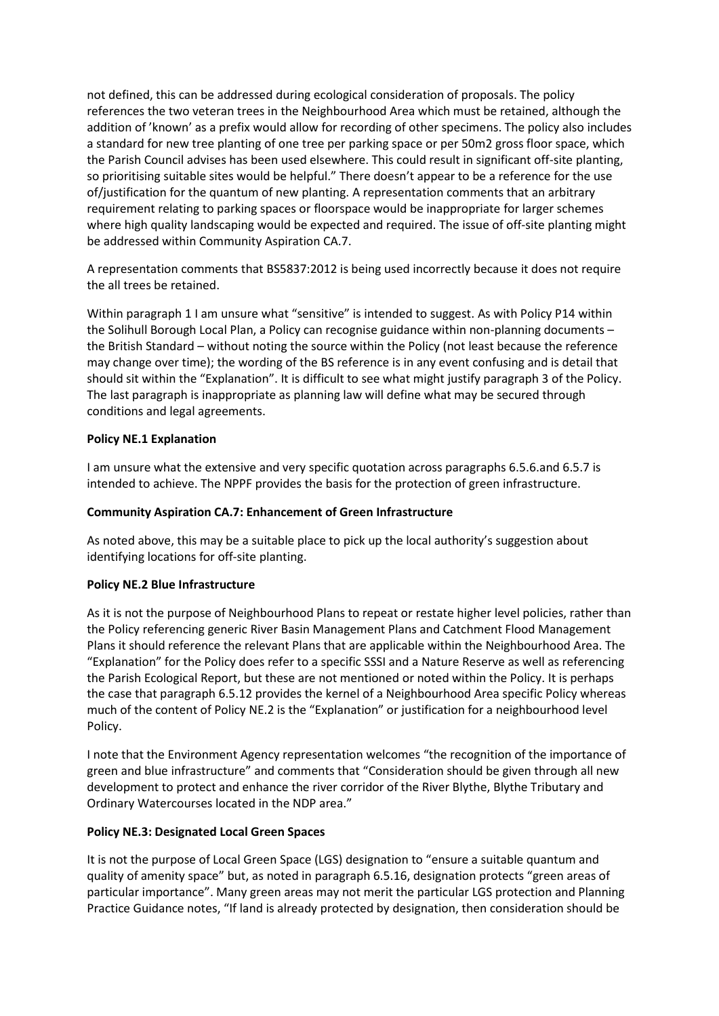not defined, this can be addressed during ecological consideration of proposals. The policy references the two veteran trees in the Neighbourhood Area which must be retained, although the addition of 'known' as a prefix would allow for recording of other specimens. The policy also includes a standard for new tree planting of one tree per parking space or per 50m2 gross floor space, which the Parish Council advises has been used elsewhere. This could result in significant off-site planting, so prioritising suitable sites would be helpful." There doesn't appear to be a reference for the use of/justification for the quantum of new planting. A representation comments that an arbitrary requirement relating to parking spaces or floorspace would be inappropriate for larger schemes where high quality landscaping would be expected and required. The issue of off-site planting might be addressed within Community Aspiration CA.7.

A representation comments that BS5837:2012 is being used incorrectly because it does not require the all trees be retained.

Within paragraph 1 I am unsure what "sensitive" is intended to suggest. As with Policy P14 within the Solihull Borough Local Plan, a Policy can recognise guidance within non-planning documents – the British Standard – without noting the source within the Policy (not least because the reference may change over time); the wording of the BS reference is in any event confusing and is detail that should sit within the "Explanation". It is difficult to see what might justify paragraph 3 of the Policy. The last paragraph is inappropriate as planning law will define what may be secured through conditions and legal agreements.

## **Policy NE.1 Explanation**

I am unsure what the extensive and very specific quotation across paragraphs 6.5.6.and 6.5.7 is intended to achieve. The NPPF provides the basis for the protection of green infrastructure.

### **Community Aspiration CA.7: Enhancement of Green Infrastructure**

As noted above, this may be a suitable place to pick up the local authority's suggestion about identifying locations for off-site planting.

### **Policy NE.2 Blue Infrastructure**

As it is not the purpose of Neighbourhood Plans to repeat or restate higher level policies, rather than the Policy referencing generic River Basin Management Plans and Catchment Flood Management Plans it should reference the relevant Plans that are applicable within the Neighbourhood Area. The "Explanation" for the Policy does refer to a specific SSSI and a Nature Reserve as well as referencing the Parish Ecological Report, but these are not mentioned or noted within the Policy. It is perhaps the case that paragraph 6.5.12 provides the kernel of a Neighbourhood Area specific Policy whereas much of the content of Policy NE.2 is the "Explanation" or justification for a neighbourhood level Policy.

I note that the Environment Agency representation welcomes "the recognition of the importance of green and blue infrastructure" and comments that "Consideration should be given through all new development to protect and enhance the river corridor of the River Blythe, Blythe Tributary and Ordinary Watercourses located in the NDP area."

### **Policy NE.3: Designated Local Green Spaces**

It is not the purpose of Local Green Space (LGS) designation to "ensure a suitable quantum and quality of amenity space" but, as noted in paragraph 6.5.16, designation protects "green areas of particular importance". Many green areas may not merit the particular LGS protection and Planning Practice Guidance notes, "If land is already protected by designation, then consideration should be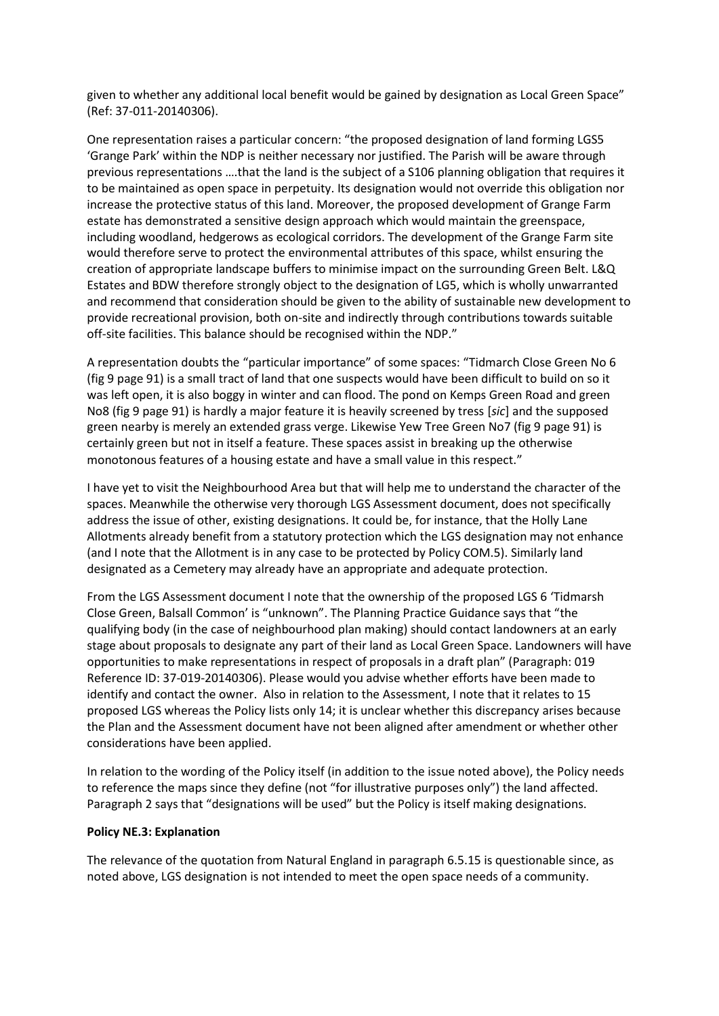given to whether any additional local benefit would be gained by designation as Local Green Space" (Ref: 37-011-20140306).

One representation raises a particular concern: "the proposed designation of land forming LGS5 'Grange Park' within the NDP is neither necessary nor justified. The Parish will be aware through previous representations ….that the land is the subject of a S106 planning obligation that requires it to be maintained as open space in perpetuity. Its designation would not override this obligation nor increase the protective status of this land. Moreover, the proposed development of Grange Farm estate has demonstrated a sensitive design approach which would maintain the greenspace, including woodland, hedgerows as ecological corridors. The development of the Grange Farm site would therefore serve to protect the environmental attributes of this space, whilst ensuring the creation of appropriate landscape buffers to minimise impact on the surrounding Green Belt. L&Q Estates and BDW therefore strongly object to the designation of LG5, which is wholly unwarranted and recommend that consideration should be given to the ability of sustainable new development to provide recreational provision, both on-site and indirectly through contributions towards suitable off-site facilities. This balance should be recognised within the NDP."

A representation doubts the "particular importance" of some spaces: "Tidmarch Close Green No 6 (fig 9 page 91) is a small tract of land that one suspects would have been difficult to build on so it was left open, it is also boggy in winter and can flood. The pond on Kemps Green Road and green No8 (fig 9 page 91) is hardly a major feature it is heavily screened by tress [*sic*] and the supposed green nearby is merely an extended grass verge. Likewise Yew Tree Green No7 (fig 9 page 91) is certainly green but not in itself a feature. These spaces assist in breaking up the otherwise monotonous features of a housing estate and have a small value in this respect."

I have yet to visit the Neighbourhood Area but that will help me to understand the character of the spaces. Meanwhile the otherwise very thorough LGS Assessment document, does not specifically address the issue of other, existing designations. It could be, for instance, that the Holly Lane Allotments already benefit from a statutory protection which the LGS designation may not enhance (and I note that the Allotment is in any case to be protected by Policy COM.5). Similarly land designated as a Cemetery may already have an appropriate and adequate protection.

From the LGS Assessment document I note that the ownership of the proposed LGS 6 'Tidmarsh Close Green, Balsall Common' is "unknown". The Planning Practice Guidance says that "the qualifying body (in the case of neighbourhood plan making) should contact landowners at an early stage about proposals to designate any part of their land as Local Green Space. Landowners will have opportunities to make representations in respect of proposals in a draft plan" (Paragraph: 019 Reference ID: 37-019-20140306). Please would you advise whether efforts have been made to identify and contact the owner. Also in relation to the Assessment, I note that it relates to 15 proposed LGS whereas the Policy lists only 14; it is unclear whether this discrepancy arises because the Plan and the Assessment document have not been aligned after amendment or whether other considerations have been applied.

In relation to the wording of the Policy itself (in addition to the issue noted above), the Policy needs to reference the maps since they define (not "for illustrative purposes only") the land affected. Paragraph 2 says that "designations will be used" but the Policy is itself making designations.

### **Policy NE.3: Explanation**

The relevance of the quotation from Natural England in paragraph 6.5.15 is questionable since, as noted above, LGS designation is not intended to meet the open space needs of a community.